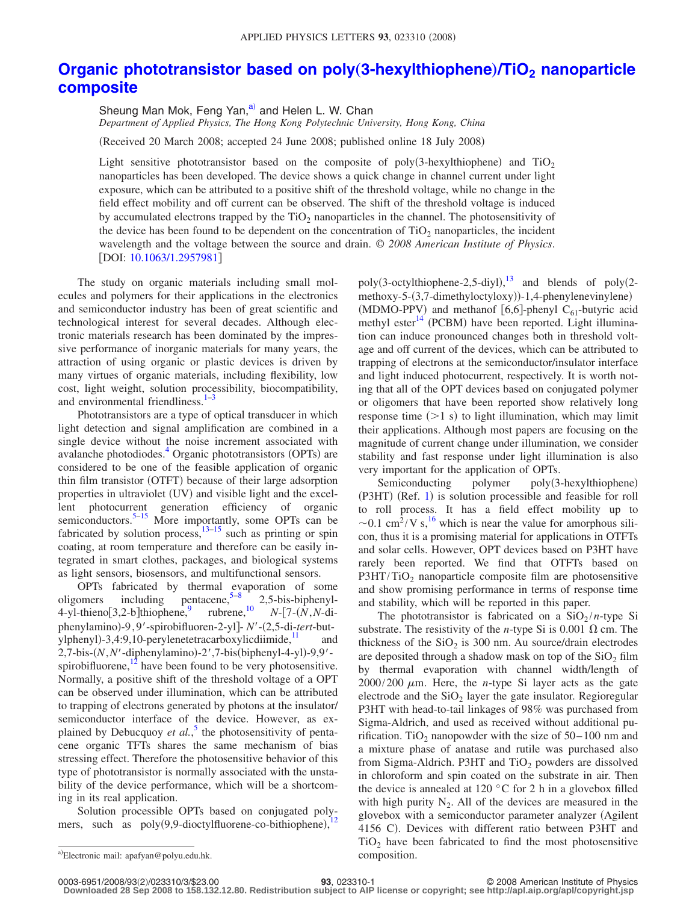## **[Organic phototransistor based on poly](http://dx.doi.org/10.1063/1.2957981)** (3-hexylthiophene)/TiO<sub>2</sub> nanoparticle **[composite](http://dx.doi.org/10.1063/1.2957981)**

Sheung Man Mok, Feng Yan, $a^2$  and Helen L. W. Chan *Department of Applied Physics, The Hong Kong Polytechnic University, Hong Kong, China*

(Received 20 March 2008; accepted 24 June 2008; published online 18 July 2008)

Light sensitive phototransistor based on the composite of poly(3-hexylthiophene) and  $TiO<sub>2</sub>$ nanoparticles has been developed. The device shows a quick change in channel current under light exposure, which can be attributed to a positive shift of the threshold voltage, while no change in the field effect mobility and off current can be observed. The shift of the threshold voltage is induced by accumulated electrons trapped by the  $TiO<sub>2</sub>$  nanoparticles in the channel. The photosensitivity of the device has been found to be dependent on the concentration of  $TiO<sub>2</sub>$  nanoparticles, the incident wavelength and the voltage between the source and drain. © *2008 American Institute of Physics*. [DOI: [10.1063/1.2957981](http://dx.doi.org/10.1063/1.2957981)]

The study on organic materials including small molecules and polymers for their applications in the electronics and semiconductor industry has been of great scientific and technological interest for several decades. Although electronic materials research has been dominated by the impressive performance of inorganic materials for many years, the attraction of using organic or plastic devices is driven by many virtues of organic materials, including flexibility, low cost, light weight, solution processibility, biocompatibility, and environmental friendliness.<sup>1[–3](#page-2-1)</sup>

Phototransistors are a type of optical transducer in which light detection and signal amplification are combined in a single device without the noise increment associated with avalanche photodiodes.<sup>4</sup> Organic phototransistors (OPTs) are considered to be one of the feasible application of organic thin film transistor (OTFT) because of their large adsorption properties in ultraviolet (UV) and visible light and the excellent photocurrent generation efficiency of organic semiconductors.<sup>5–[15](#page-2-4)</sup> More importantly, some OPTs can be fabricated by solution process, $\frac{13-15}{13}$  such as printing or spin coating, at room temperature and therefore can be easily integrated in smart clothes, packages, and biological systems as light sensors, biosensors, and multifunctional sensors.

OPTs fabricated by thermal evaporation of some oligomers including pentacene,<sup>5–[8](#page-2-6)</sup> 2,5-bis-biphenyl-<br>4-yl-thieno[3,2-b]thiophene,<sup>9</sup> rubrene,<sup>10</sup>  $N$ -[7-(N,N-di-4-yl-thieno $[3,2$ -b]thiophene,<sup>9</sup> rubrene,<sup>10</sup> *N*- $[7-(N,N-di-1)]$ phenylamino)-9,9'-spirobifluoren-2-yl]- N'-(2,5-di-tert-butylphenyl)-3,4:9,10-perylenetetracarboxylicdiimide, $\frac{11}{2}$  and 2,7-bis-(N, N'-diphenylamino)-2',7-bis(biphenyl-4-yl)-9,9'spirobifluorene, $12$  have been found to be very photosensitive. Normally, a positive shift of the threshold voltage of a OPT can be observed under illumination, which can be attributed to trapping of electrons generated by photons at the insulator/ semiconductor interface of the device. However, as explained by Debucquoy *et al.*, [5](#page-2-3) the photosensitivity of pentacene organic TFTs shares the same mechanism of bias stressing effect. Therefore the photosensitive behavior of this type of phototransistor is normally associated with the unstability of the device performance, which will be a shortcoming in its real application.

<span id="page-0-0"></span>Solution processible OPTs based on conjugated poly-<br> $\frac{12}{12}$  $\frac{12}{12}$  $\frac{12}{12}$  and  $\frac{12}{12}$  and  $\frac{12}{12}$  disortifluence as hithighboro). mers, such as poly(9,9-dioctylfluorene-co-bithiophene),

poly(3-octylthiophene-2,5-diyl), $^{13}$  $^{13}$  $^{13}$  and blends of poly(2methoxy-5-(3,7-dimethyloctyloxy))-1,4-phenylenevinylene)  $(MDMO-PPV)$  and methanof [6,6]-phenyl C<sub>61</sub>-butyric acid methyl ester $^{14}$  (PCBM) have been reported. Light illumination can induce pronounced changes both in threshold voltage and off current of the devices, which can be attributed to trapping of electrons at the semiconductor/insulator interface and light induced photocurrent, respectively. It is worth noting that all of the OPT devices based on conjugated polymer or oligomers that have been reported show relatively long response time  $(>=1 s)$  to light illumination, which may limit their applications. Although most papers are focusing on the magnitude of current change under illumination, we consider stability and fast response under light illumination is also very important for the application of OPTs.

Semiconducting polymer poly(3-hexylthiophene) (P3HT) (Ref. [1](#page-2-0)) is solution processible and feasible for roll to roll process. It has a field effect mobility up to  $\sim$  0.1 cm<sup>2</sup>/V s,<sup>[16](#page-2-12)</sup> which is near the value for amorphous silicon, thus it is a promising material for applications in OTFTs and solar cells. However, OPT devices based on P3HT have rarely been reported. We find that OTFTs based on  $P3HT/TiO<sub>2</sub>$  nanoparticle composite film are photosensitive and show promising performance in terms of response time and stability, which will be reported in this paper.

The phototransistor is fabricated on a  $SiO<sub>2</sub>/n$ -type Si substrate. The resistivity of the *n*-type Si is 0.001  $\Omega$  cm. The thickness of the  $SiO<sub>2</sub>$  is 300 nm. Au source/drain electrodes are deposited through a shadow mask on top of the  $SiO<sub>2</sub>$  film by thermal evaporation with channel width/length of  $2000/200 \mu m$ . Here, the *n*-type Si layer acts as the gate electrode and the  $SiO<sub>2</sub>$  layer the gate insulator. Regioregular P3HT with head-to-tail linkages of 98% was purchased from Sigma-Aldrich, and used as received without additional purification. TiO<sub>2</sub> nanopowder with the size of  $50-100$  nm and a mixture phase of anatase and rutile was purchased also from Sigma-Aldrich. P3HT and  $TiO<sub>2</sub>$  powders are dissolved in chloroform and spin coated on the substrate in air. Then the device is annealed at 120 $\degree$ C for 2 h in a glovebox filled with high purity  $N_2$ . All of the devices are measured in the glovebox with a semiconductor parameter analyzer (Agilent 4156 C). Devices with different ratio between P3HT and  $TiO<sub>2</sub>$  have been fabricated to find the most photosensitive

0003-6951/2008/93(2)/023310/3/\$23.00

a)Electronic mail: apafyan@polyu.edu.hk. composition.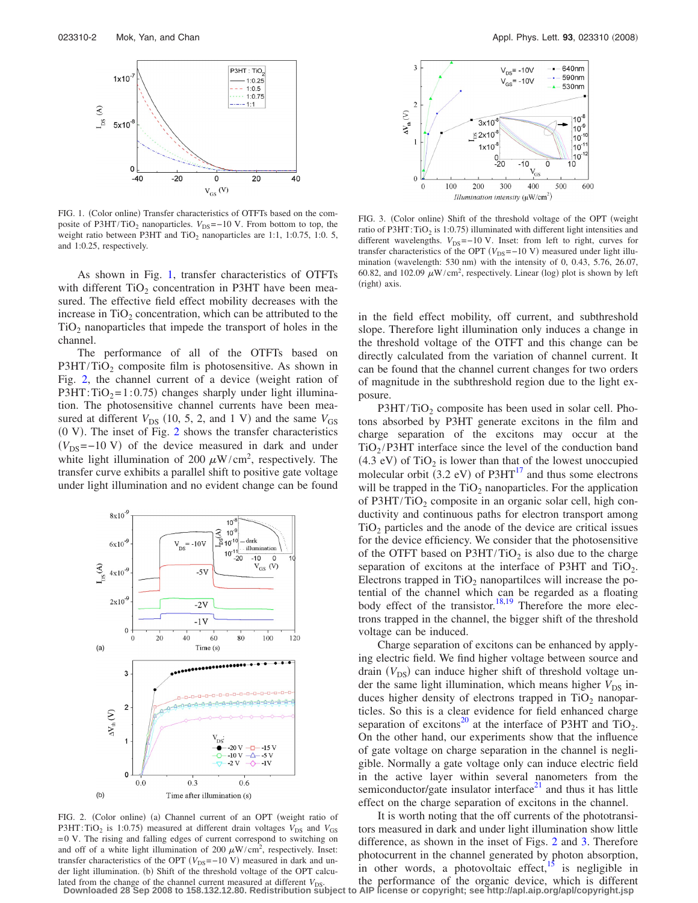<span id="page-1-0"></span>

FIG. 1. (Color online) Transfer characteristics of OTFTs based on the composite of P3HT/TiO<sub>2</sub> nanoparticles.  $V_{DS}$ =−10 V. From bottom to top, the weight ratio between P3HT and  $TiO<sub>2</sub>$  nanoparticles are 1:1, 1:0.75, 1:0. 5, and 1:0.25, respectively.

As shown in Fig. [1,](#page-1-0) transfer characteristics of OTFTs with different  $TiO<sub>2</sub>$  concentration in P3HT have been measured. The effective field effect mobility decreases with the increase in  $TiO<sub>2</sub>$  concentration, which can be attributed to the  $TiO<sub>2</sub>$  nanoparticles that impede the transport of holes in the channel.

The performance of all of the OTFTs based on  $P3HT/TiO<sub>2</sub>$  composite film is photosensitive. As shown in Fig. [2,](#page-1-1) the channel current of a device (weight ration of  $P3HT: TiO<sub>2</sub>=1:0.75$  changes sharply under light illumination. The photosensitive channel currents have been measured at different  $V_{DS}$  (10, 5, 2, and 1 V) and the same  $V_{GS}$  $(0 V)$ . The inset of Fig. [2](#page-1-1) shows the transfer characteristics  $(V_{DS}=-10 \text{ V})$  of the device measured in dark and under white light illumination of 200  $\mu$ W/cm<sup>2</sup>, respectively. The transfer curve exhibits a parallel shift to positive gate voltage under light illumination and no evident change can be found

<span id="page-1-1"></span>

FIG. 2. (Color online) (a) Channel current of an OPT (weight ratio of P3HT: TiO<sub>2</sub> is 1:0.75) measured at different drain voltages  $V_{DS}$  and  $V_{GS}$ = 0 V. The rising and falling edges of current correspond to switching on and off of a white light illumination of 200  $\mu$ W/cm<sup>2</sup>, respectively. Inset: transfer characteristics of the OPT  $(V_{DS}=-10 \text{ V})$  measured in dark and under light illumination. (b) Shift of the threshold voltage of the OPT calculated from the change of the channel current measured at different  $V_{DS}$ .

<span id="page-1-2"></span>

FIG. 3. (Color online) Shift of the threshold voltage of the OPT (weight ratio of P3HT: TiO<sub>2</sub> is 1:0.75) illuminated with different light intensities and different wavelengths.  $V_{DS}$ =−10 V. Inset: from left to right, curves for transfer characteristics of the OPT  $(V_{DS}=-10 \text{ V})$  measured under light illumination (wavelength: 530 nm) with the intensity of 0, 0.43, 5.76, 26.07, 60.82, and 102.09  $\mu$ W/cm<sup>2</sup>, respectively. Linear (log) plot is shown by left (right) axis.

in the field effect mobility, off current, and subthreshold slope. Therefore light illumination only induces a change in the threshold voltage of the OTFT and this change can be directly calculated from the variation of channel current. It can be found that the channel current changes for two orders of magnitude in the subthreshold region due to the light exposure.

 $P3HT/TiO<sub>2</sub>$  composite has been used in solar cell. Photons absorbed by P3HT generate excitons in the film and charge separation of the excitons may occur at the  $TiO<sub>2</sub>/P3HT$  interface since the level of the conduction band  $(4.3 \text{ eV})$  of TiO<sub>2</sub> is lower than that of the lowest unoccupied molecular orbit (3.2 eV) of P3HT $^{17}$  and thus some electrons will be trapped in the  $TiO<sub>2</sub>$  nanoparticles. For the application of P3HT/TiO<sub>2</sub> composite in an organic solar cell, high conductivity and continuous paths for electron transport among  $TiO<sub>2</sub>$  particles and the anode of the device are critical issues for the device efficiency. We consider that the photosensitive of the OTFT based on  $P3HT/TiO<sub>2</sub>$  is also due to the charge separation of excitons at the interface of P3HT and  $TiO<sub>2</sub>$ . Electrons trapped in  $TiO<sub>2</sub>$  nanopartilces will increase the potential of the channel which can be regarded as a floating body effect of the transistor.<sup>18[,19](#page-2-15)</sup> Therefore the more electrons trapped in the channel, the bigger shift of the threshold voltage can be induced.

Charge separation of excitons can be enhanced by applying electric field. We find higher voltage between source and drain (V<sub>DS</sub>) can induce higher shift of threshold voltage under the same light illumination, which means higher  $V_{DS}$  induces higher density of electrons trapped in  $TiO<sub>2</sub>$  nanoparticles. So this is a clear evidence for field enhanced charge separation of excitons<sup>20</sup> at the interface of P3HT and TiO<sub>2</sub>. On the other hand, our experiments show that the influence of gate voltage on charge separation in the channel is negligible. Normally a gate voltage only can induce electric field in the active layer within several nanometers from the semiconductor/gate insulator interface $21$  and thus it has little effect on the charge separation of excitons in the channel.

It is worth noting that the off currents of the phototransitors measured in dark and under light illumination show little difference, as shown in the inset of Figs. [2](#page-1-1) and [3.](#page-1-2) Therefore photocurrent in the channel generated by photon absorption, in other words, a photovoltaic effect, $\frac{15}{15}$  is negligible in the performance of the organic device, which is different **Downloaded 28 Sep 2008 to 158.132.12.80. Redistribution subject to AIP license or copyright; see http://apl.aip.org/apl/copyright.jsp**